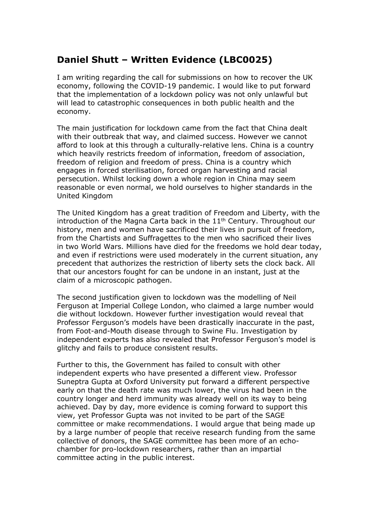## **Daniel Shutt – Written Evidence (LBC0025)**

I am writing regarding the call for submissions on how to recover the UK economy, following the COVID-19 pandemic. I would like to put forward that the implementation of a lockdown policy was not only unlawful but will lead to catastrophic consequences in both public health and the economy.

The main justification for lockdown came from the fact that China dealt with their outbreak that way, and claimed success. However we cannot afford to look at this through a culturally-relative lens. China is a country which heavily restricts freedom of information, freedom of association, freedom of religion and freedom of press. China is a country which engages in forced sterilisation, forced organ harvesting and racial persecution. Whilst locking down a whole region in China may seem reasonable or even normal, we hold ourselves to higher standards in the United Kingdom

The United Kingdom has a great tradition of Freedom and Liberty, with the introduction of the Magna Carta back in the  $11<sup>th</sup>$  Century. Throughout our history, men and women have sacrificed their lives in pursuit of freedom, from the Chartists and Suffragettes to the men who sacrificed their lives in two World Wars. Millions have died for the freedoms we hold dear today, and even if restrictions were used moderately in the current situation, any precedent that authorizes the restriction of liberty sets the clock back. All that our ancestors fought for can be undone in an instant, just at the claim of a microscopic pathogen.

The second justification given to lockdown was the modelling of Neil Ferguson at Imperial College London, who claimed a large number would die without lockdown. However further investigation would reveal that Professor Ferguson's models have been drastically inaccurate in the past, from Foot-and-Mouth disease through to Swine Flu. Investigation by independent experts has also revealed that Professor Ferguson's model is glitchy and fails to produce consistent results.

Further to this, the Government has failed to consult with other independent experts who have presented a different view. Professor Suneptra Gupta at Oxford University put forward a different perspective early on that the death rate was much lower, the virus had been in the country longer and herd immunity was already well on its way to being achieved. Day by day, more evidence is coming forward to support this view, yet Professor Gupta was not invited to be part of the SAGE committee or make recommendations. I would argue that being made up by a large number of people that receive research funding from the same collective of donors, the SAGE committee has been more of an echochamber for pro-lockdown researchers, rather than an impartial committee acting in the public interest.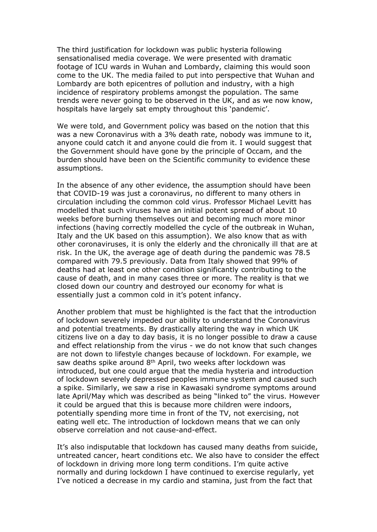The third justification for lockdown was public hysteria following sensationalised media coverage. We were presented with dramatic footage of ICU wards in Wuhan and Lombardy, claiming this would soon come to the UK. The media failed to put into perspective that Wuhan and Lombardy are both epicentres of pollution and industry, with a high incidence of respiratory problems amongst the population. The same trends were never going to be observed in the UK, and as we now know, hospitals have largely sat empty throughout this 'pandemic'.

We were told, and Government policy was based on the notion that this was a new Coronavirus with a 3% death rate, nobody was immune to it, anyone could catch it and anyone could die from it. I would suggest that the Government should have gone by the principle of Occam, and the burden should have been on the Scientific community to evidence these assumptions.

In the absence of any other evidence, the assumption should have been that COVID-19 was just a coronavirus, no different to many others in circulation including the common cold virus. Professor Michael Levitt has modelled that such viruses have an initial potent spread of about 10 weeks before burning themselves out and becoming much more minor infections (having correctly modelled the cycle of the outbreak in Wuhan, Italy and the UK based on this assumption). We also know that as with other coronaviruses, it is only the elderly and the chronically ill that are at risk. In the UK, the average age of death during the pandemic was 78.5 compared with 79.5 previously. Data from Italy showed that 99% of deaths had at least one other condition significantly contributing to the cause of death, and in many cases three or more. The reality is that we closed down our country and destroyed our economy for what is essentially just a common cold in it's potent infancy.

Another problem that must be highlighted is the fact that the introduction of lockdown severely impeded our ability to understand the Coronavirus and potential treatments. By drastically altering the way in which UK citizens live on a day to day basis, it is no longer possible to draw a cause and effect relationship from the virus - we do not know that such changes are not down to lifestyle changes because of lockdown. For example, we saw deaths spike around 8th April, two weeks after lockdown was introduced, but one could argue that the media hysteria and introduction of lockdown severely depressed peoples immune system and caused such a spike. Similarly, we saw a rise in Kawasaki syndrome symptoms around late April/May which was described as being "linked to" the virus. However it could be argued that this is because more children were indoors, potentially spending more time in front of the TV, not exercising, not eating well etc. The introduction of lockdown means that we can only observe correlation and not cause-and-effect.

It's also indisputable that lockdown has caused many deaths from suicide, untreated cancer, heart conditions etc. We also have to consider the effect of lockdown in driving more long term conditions. I'm quite active normally and during lockdown I have continued to exercise regularly, yet I've noticed a decrease in my cardio and stamina, just from the fact that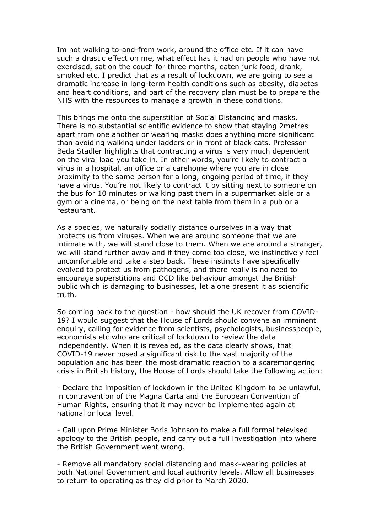Im not walking to-and-from work, around the office etc. If it can have such a drastic effect on me, what effect has it had on people who have not exercised, sat on the couch for three months, eaten junk food, drank, smoked etc. I predict that as a result of lockdown, we are going to see a dramatic increase in long-term health conditions such as obesity, diabetes and heart conditions, and part of the recovery plan must be to prepare the NHS with the resources to manage a growth in these conditions.

This brings me onto the superstition of Social Distancing and masks. There is no substantial scientific evidence to show that staying 2metres apart from one another or wearing masks does anything more significant than avoiding walking under ladders or in front of black cats. Professor Beda Stadler highlights that contracting a virus is very much dependent on the viral load you take in. In other words, you're likely to contract a virus in a hospital, an office or a carehome where you are in close proximity to the same person for a long, ongoing period of time, if they have a virus. You're not likely to contract it by sitting next to someone on the bus for 10 minutes or walking past them in a supermarket aisle or a gym or a cinema, or being on the next table from them in a pub or a restaurant.

As a species, we naturally socially distance ourselves in a way that protects us from viruses. When we are around someone that we are intimate with, we will stand close to them. When we are around a stranger, we will stand further away and if they come too close, we instinctively feel uncomfortable and take a step back. These instincts have specifically evolved to protect us from pathogens, and there really is no need to encourage superstitions and OCD like behaviour amongst the British public which is damaging to businesses, let alone present it as scientific truth.

So coming back to the question - how should the UK recover from COVID-19? I would suggest that the House of Lords should convene an imminent enquiry, calling for evidence from scientists, psychologists, businesspeople, economists etc who are critical of lockdown to review the data independently. When it is revealed, as the data clearly shows, that COVID-19 never posed a significant risk to the vast majority of the population and has been the most dramatic reaction to a scaremongering crisis in British history, the House of Lords should take the following action:

- Declare the imposition of lockdown in the United Kingdom to be unlawful, in contravention of the Magna Carta and the European Convention of Human Rights, ensuring that it may never be implemented again at national or local level.

- Call upon Prime Minister Boris Johnson to make a full formal televised apology to the British people, and carry out a full investigation into where the British Government went wrong.

- Remove all mandatory social distancing and mask-wearing policies at both National Government and local authority levels. Allow all businesses to return to operating as they did prior to March 2020.